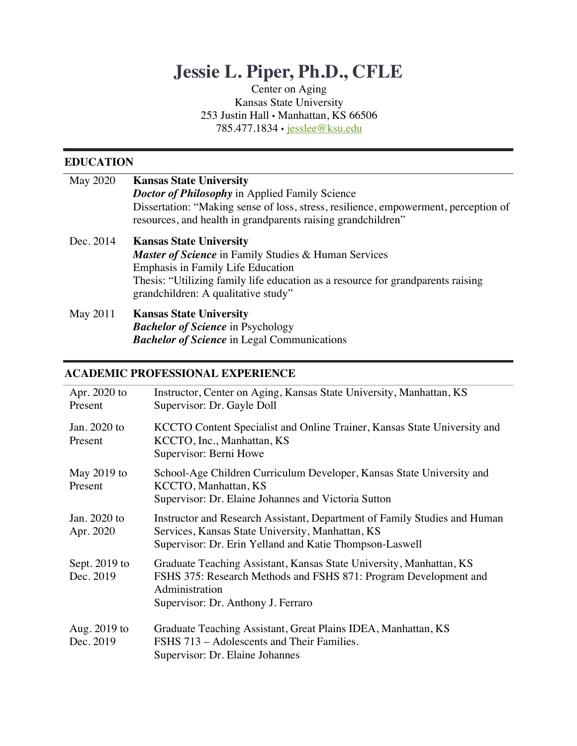# **Jessie L. Piper, Ph.D., CFLE**

Center on Aging Kansas State University 253 Justin Hall • Manhattan, KS 66506 785.477.1834 ▪ jesslee@ksu.edu

### **EDUCATION**

| <b>May 2020</b> | <b>Kansas State University</b>                                                      |  |
|-----------------|-------------------------------------------------------------------------------------|--|
|                 | <b>Doctor of Philosophy</b> in Applied Family Science                               |  |
|                 | Dissertation: "Making sense of loss, stress, resilience, empowerment, perception of |  |
|                 | resources, and health in grandparents raising grandchildren"                        |  |
| Dec. 2014       | <b>Kansas State University</b>                                                      |  |
|                 | Master of Science in Family Studies & Human Services                                |  |
|                 | Emphasis in Family Life Education                                                   |  |
|                 | Thesis: "Utilizing family life education as a resource for grandparents raising     |  |
|                 | grandchildren: A qualitative study"                                                 |  |
| May 2011        | <b>Kansas State University</b>                                                      |  |
|                 | <b>Bachelor of Science</b> in Psychology                                            |  |

*Bachelor of Science* in Legal Communications

# **ACADEMIC PROFESSIONAL EXPERIENCE**

| Apr. 2020 to<br>Present      | Instructor, Center on Aging, Kansas State University, Manhattan, KS<br>Supervisor: Dr. Gayle Doll                                                                                               |
|------------------------------|-------------------------------------------------------------------------------------------------------------------------------------------------------------------------------------------------|
| Jan. 2020 to<br>Present      | KCCTO Content Specialist and Online Trainer, Kansas State University and<br>KCCTO, Inc., Manhattan, KS<br>Supervisor: Berni Howe                                                                |
| May $2019$ to<br>Present     | School-Age Children Curriculum Developer, Kansas State University and<br>KCCTO, Manhattan, KS<br>Supervisor: Dr. Elaine Johannes and Victoria Sutton                                            |
| Jan. 2020 to<br>Apr. 2020    | Instructor and Research Assistant, Department of Family Studies and Human<br>Services, Kansas State University, Manhattan, KS<br>Supervisor: Dr. Erin Yelland and Katie Thompson-Laswell        |
| Sept. $2019$ to<br>Dec. 2019 | Graduate Teaching Assistant, Kansas State University, Manhattan, KS<br>FSHS 375: Research Methods and FSHS 871: Program Development and<br>Administration<br>Supervisor: Dr. Anthony J. Ferraro |
| Aug. 2019 to<br>Dec. 2019    | Graduate Teaching Assistant, Great Plains IDEA, Manhattan, KS<br>FSHS 713 - Adolescents and Their Families.<br>Supervisor: Dr. Elaine Johannes                                                  |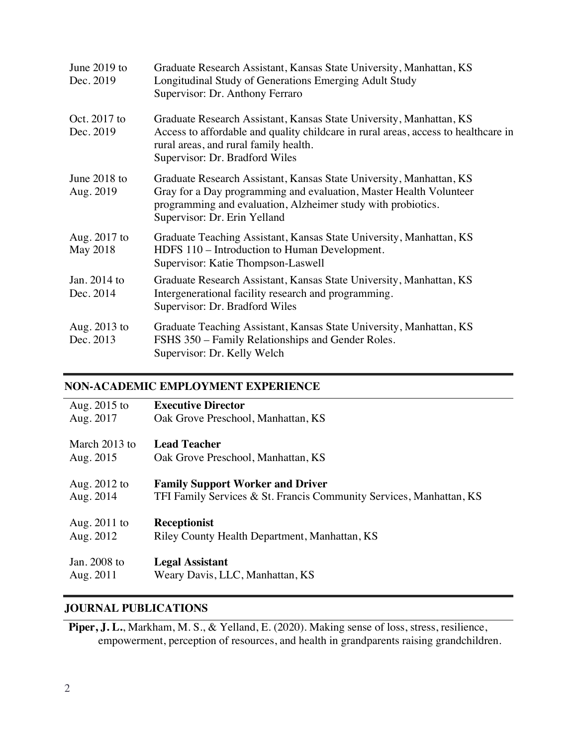| June 2019 to<br>Dec. 2019   | Graduate Research Assistant, Kansas State University, Manhattan, KS<br>Longitudinal Study of Generations Emerging Adult Study<br>Supervisor: Dr. Anthony Ferraro                                                                          |
|-----------------------------|-------------------------------------------------------------------------------------------------------------------------------------------------------------------------------------------------------------------------------------------|
| Oct. 2017 to<br>Dec. 2019   | Graduate Research Assistant, Kansas State University, Manhattan, KS<br>Access to affordable and quality childcare in rural areas, access to healthcare in<br>rural areas, and rural family health.<br>Supervisor: Dr. Bradford Wiles      |
| June $2018$ to<br>Aug. 2019 | Graduate Research Assistant, Kansas State University, Manhattan, KS<br>Gray for a Day programming and evaluation, Master Health Volunteer<br>programming and evaluation, Alzheimer study with probiotics.<br>Supervisor: Dr. Erin Yelland |
| Aug. 2017 to<br>May 2018    | Graduate Teaching Assistant, Kansas State University, Manhattan, KS<br>HDFS 110 – Introduction to Human Development.<br>Supervisor: Katie Thompson-Laswell                                                                                |
| Jan. 2014 to<br>Dec. 2014   | Graduate Research Assistant, Kansas State University, Manhattan, KS<br>Intergenerational facility research and programming.<br>Supervisor: Dr. Bradford Wiles                                                                             |
| Aug. 2013 to<br>Dec. 2013   | Graduate Teaching Assistant, Kansas State University, Manhattan, KS<br>FSHS 350 – Family Relationships and Gender Roles.<br>Supervisor: Dr. Kelly Welch                                                                                   |

#### **NON-ACADEMIC EMPLOYMENT EXPERIENCE**

| Aug. 2015 to   | <b>Executive Director</b>                                           |
|----------------|---------------------------------------------------------------------|
| Aug. 2017      | Oak Grove Preschool, Manhattan, KS                                  |
| March 2013 to  | <b>Lead Teacher</b>                                                 |
| Aug. 2015      | Oak Grove Preschool, Manhattan, KS                                  |
| Aug. $2012$ to | <b>Family Support Worker and Driver</b>                             |
| Aug. 2014      | TFI Family Services & St. Francis Community Services, Manhattan, KS |
| Aug. 2011 to   | <b>Receptionist</b>                                                 |
| Aug. 2012      | Riley County Health Department, Manhattan, KS                       |
| Jan. 2008 to   | <b>Legal Assistant</b>                                              |
| Aug. 2011      | Weary Davis, LLC, Manhattan, KS                                     |

# **JOURNAL PUBLICATIONS**

**Piper, J. L.**, Markham, M. S., & Yelland, E. (2020). Making sense of loss, stress, resilience, empowerment, perception of resources, and health in grandparents raising grandchildren.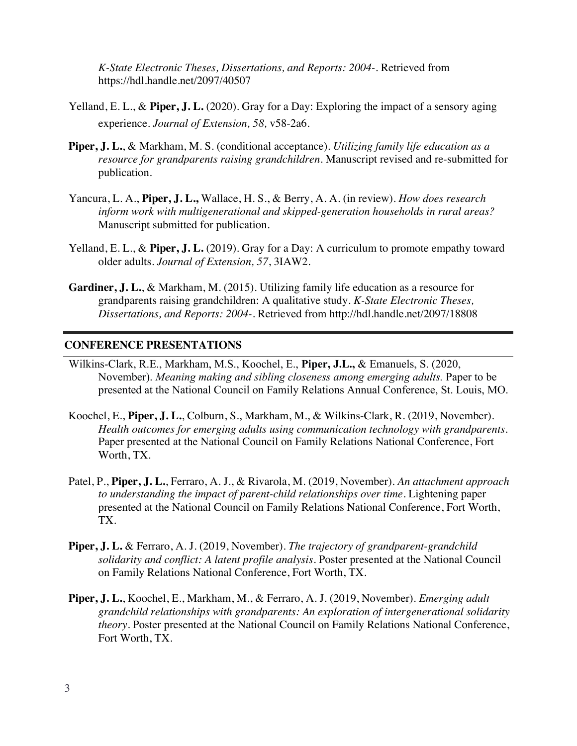*K-State Electronic Theses, Dissertations, and Reports: 2004-.* Retrieved from https://hdl.handle.net/2097/40507

- Yelland, E. L., & **Piper, J. L.** (2020). Gray for a Day: Exploring the impact of a sensory aging experience. *Journal of Extension, 58,* v58-2a6.
- **Piper, J. L.**, & Markham, M. S. (conditional acceptance). *Utilizing family life education as a resource for grandparents raising grandchildren*. Manuscript revised and re-submitted for publication.
- Yancura, L. A., **Piper, J. L.,** Wallace, H. S., & Berry, A. A. (in review). *How does research inform work with multigenerational and skipped-generation households in rural areas?*  Manuscript submitted for publication.
- Yelland, E. L., & **Piper, J. L.** (2019). Gray for a Day: A curriculum to promote empathy toward older adults. *Journal of Extension, 57*, 3IAW2.
- **Gardiner, J. L.**, & Markham, M. (2015). Utilizing family life education as a resource for grandparents raising grandchildren: A qualitative study. *K-State Electronic Theses, Dissertations, and Reports: 2004-.* Retrieved from http://hdl.handle.net/2097/18808

#### **CONFERENCE PRESENTATIONS**

- Wilkins-Clark, R.E., Markham, M.S., Koochel, E., **Piper, J.L.,** & Emanuels, S. (2020, November). *Meaning making and sibling closeness among emerging adults.* Paper to be presented at the National Council on Family Relations Annual Conference, St. Louis, MO.
- Koochel, E., **Piper, J. L.**, Colburn, S., Markham, M., & Wilkins-Clark, R. (2019, November). *Health outcomes for emerging adults using communication technology with grandparents.*  Paper presented at the National Council on Family Relations National Conference, Fort Worth, TX.
- Patel, P., **Piper, J. L.**, Ferraro, A. J., & Rivarola, M. (2019, November). *An attachment approach*  to understanding the impact of parent-child relationships over time. Lightening paper presented at the National Council on Family Relations National Conference, Fort Worth, TX.
- **Piper, J. L.** & Ferraro, A. J. (2019, November). *The trajectory of grandparent-grandchild solidarity and conflict: A latent profile analysis.* Poster presented at the National Council on Family Relations National Conference, Fort Worth, TX.
- **Piper, J. L.**, Koochel, E., Markham, M., & Ferraro, A. J. (2019, November). *Emerging adult grandchild relationships with grandparents: An exploration of intergenerational solidarity theory.* Poster presented at the National Council on Family Relations National Conference, Fort Worth, TX.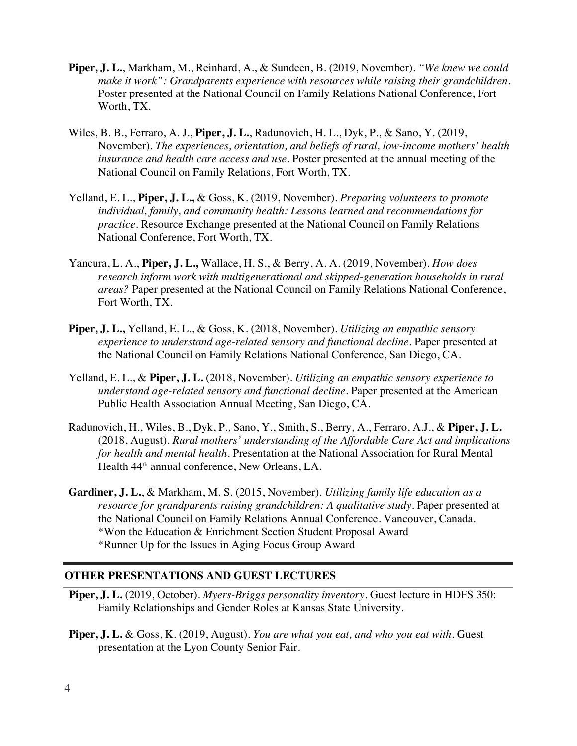- **Piper, J. L.**, Markham, M., Reinhard, A., & Sundeen, B. (2019, November). *"We knew we could make it work": Grandparents experience with resources while raising their grandchildren.* Poster presented at the National Council on Family Relations National Conference, Fort Worth, TX.
- Wiles, B. B., Ferraro, A. J., **Piper, J. L.**, Radunovich, H. L., Dyk, P., & Sano, Y. (2019, November). *The experiences, orientation, and beliefs of rural, low-income mothers' health insurance and health care access and use*. Poster presented at the annual meeting of the National Council on Family Relations, Fort Worth, TX.
- Yelland, E. L., **Piper, J. L.,** & Goss, K. (2019, November). *Preparing volunteers to promote individual, family, and community health: Lessons learned and recommendations for practice*. Resource Exchange presented at the National Council on Family Relations National Conference, Fort Worth, TX.
- Yancura, L. A., **Piper, J. L.,** Wallace, H. S., & Berry, A. A. (2019, November). *How does research inform work with multigenerational and skipped-generation households in rural areas?* Paper presented at the National Council on Family Relations National Conference, Fort Worth, TX.
- **Piper, J. L.,** Yelland, E. L., & Goss, K. (2018, November). *Utilizing an empathic sensory experience to understand age-related sensory and functional decline.* Paper presented at the National Council on Family Relations National Conference, San Diego, CA.
- Yelland, E. L., & **Piper, J. L.** (2018, November). *Utilizing an empathic sensory experience to understand age-related sensory and functional decline.* Paper presented at the American Public Health Association Annual Meeting, San Diego, CA.
- Radunovich, H., Wiles, B., Dyk, P., Sano, Y., Smith, S., Berry, A., Ferraro, A.J., & **Piper, J. L.** (2018, August). *Rural mothers' understanding of the Affordable Care Act and implications for health and mental health.* Presentation at the National Association for Rural Mental Health 44th annual conference, New Orleans, LA.
- **Gardiner, J. L.**, & Markham, M. S. (2015, November). *Utilizing family life education as a resource for grandparents raising grandchildren: A qualitative study.* Paper presented at the National Council on Family Relations Annual Conference. Vancouver, Canada. \*Won the Education & Enrichment Section Student Proposal Award \*Runner Up for the Issues in Aging Focus Group Award

## **OTHER PRESENTATIONS AND GUEST LECTURES**

- **Piper, J. L.** (2019, October). *Myers-Briggs personality inventory.* Guest lecture in HDFS 350: Family Relationships and Gender Roles at Kansas State University.
- **Piper, J. L.** & Goss, K. (2019, August). *You are what you eat, and who you eat with.* Guest presentation at the Lyon County Senior Fair.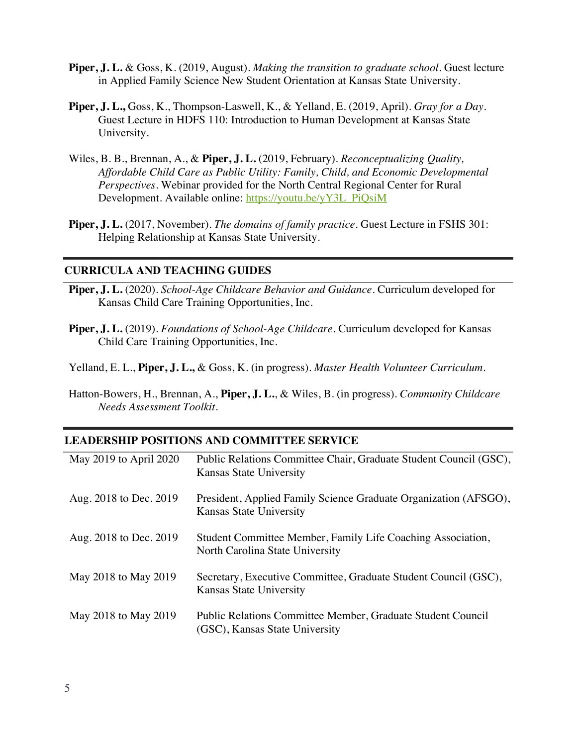- **Piper, J. L.** & Goss, K. (2019, August). *Making the transition to graduate school.* Guest lecture in Applied Family Science New Student Orientation at Kansas State University.
- **Piper, J. L.,** Goss, K., Thompson-Laswell, K., & Yelland, E. (2019, April). *Gray for a Day.*  Guest Lecture in HDFS 110: Introduction to Human Development at Kansas State University.
- Wiles, B. B., Brennan, A., & **Piper, J. L.** (2019, February). *Reconceptualizing Quality, Affordable Child Care as Public Utility: Family, Child, and Economic Developmental Perspectives.* Webinar provided for the North Central Regional Center for Rural Development. Available online: https://youtu.be/yY3L\_PiQsiM
- **Piper, J. L.** (2017, November). *The domains of family practice.* Guest Lecture in FSHS 301: Helping Relationship at Kansas State University.

#### **CURRICULA AND TEACHING GUIDES**

- **Piper, J. L.** (2020). *School-Age Childcare Behavior and Guidance.* Curriculum developed for Kansas Child Care Training Opportunities, Inc.
- **Piper, J. L.** (2019). *Foundations of School-Age Childcare.* Curriculum developed for Kansas Child Care Training Opportunities, Inc.
- Yelland, E. L., **Piper, J. L.,** & Goss, K. (in progress). *Master Health Volunteer Curriculum.*
- Hatton-Bowers, H., Brennan, A., **Piper, J. L.**, & Wiles, B. (in progress). *Community Childcare Needs Assessment Toolkit.*

#### **LEADERSHIP POSITIONS AND COMMITTEE SERVICE**

| May 2019 to April 2020 | Public Relations Committee Chair, Graduate Student Council (GSC),<br>Kansas State University   |
|------------------------|------------------------------------------------------------------------------------------------|
| Aug. 2018 to Dec. 2019 | President, Applied Family Science Graduate Organization (AFSGO),<br>Kansas State University    |
| Aug. 2018 to Dec. 2019 | Student Committee Member, Family Life Coaching Association,<br>North Carolina State University |
| May 2018 to May 2019   | Secretary, Executive Committee, Graduate Student Council (GSC),<br>Kansas State University     |
| May 2018 to May 2019   | Public Relations Committee Member, Graduate Student Council<br>(GSC), Kansas State University  |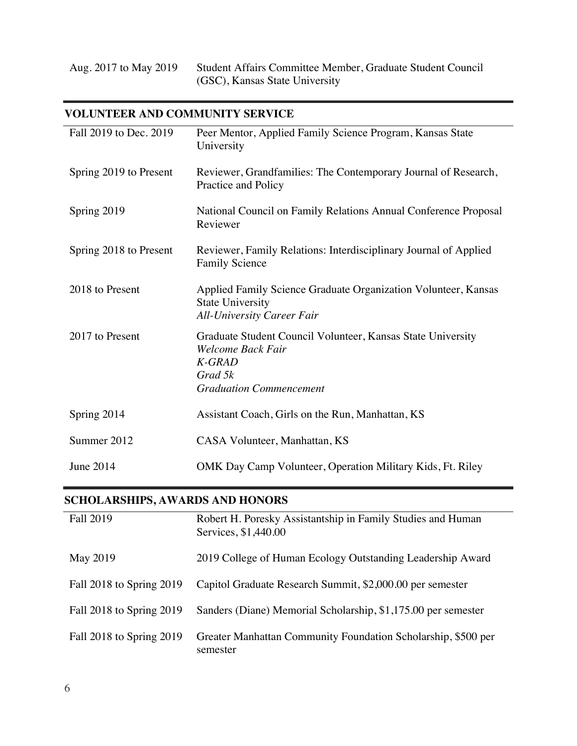## **VOLUNTEER AND COMMUNITY SERVICE**

| Fall 2019 to Dec. 2019 | Peer Mentor, Applied Family Science Program, Kansas State<br>University                                                                           |
|------------------------|---------------------------------------------------------------------------------------------------------------------------------------------------|
| Spring 2019 to Present | Reviewer, Grandfamilies: The Contemporary Journal of Research,<br>Practice and Policy                                                             |
| Spring 2019            | National Council on Family Relations Annual Conference Proposal<br>Reviewer                                                                       |
| Spring 2018 to Present | Reviewer, Family Relations: Interdisciplinary Journal of Applied<br><b>Family Science</b>                                                         |
| 2018 to Present        | Applied Family Science Graduate Organization Volunteer, Kansas<br><b>State University</b><br><b>All-University Career Fair</b>                    |
| 2017 to Present        | Graduate Student Council Volunteer, Kansas State University<br><b>Welcome Back Fair</b><br>$K$ -GRAD<br>Grad 5k<br><b>Graduation Commencement</b> |
| Spring 2014            | Assistant Coach, Girls on the Run, Manhattan, KS                                                                                                  |
| Summer 2012            | CASA Volunteer, Manhattan, KS                                                                                                                     |
| June 2014              | OMK Day Camp Volunteer, Operation Military Kids, Ft. Riley                                                                                        |

# **SCHOLARSHIPS, AWARDS AND HONORS**

| <b>Fall 2019</b>         | Robert H. Poresky Assistantship in Family Studies and Human<br>Services, \$1,440.00 |
|--------------------------|-------------------------------------------------------------------------------------|
| May 2019                 | 2019 College of Human Ecology Outstanding Leadership Award                          |
| Fall 2018 to Spring 2019 | Capitol Graduate Research Summit, \$2,000.00 per semester                           |
| Fall 2018 to Spring 2019 | Sanders (Diane) Memorial Scholarship, \$1,175.00 per semester                       |
| Fall 2018 to Spring 2019 | Greater Manhattan Community Foundation Scholarship, \$500 per<br>semester           |